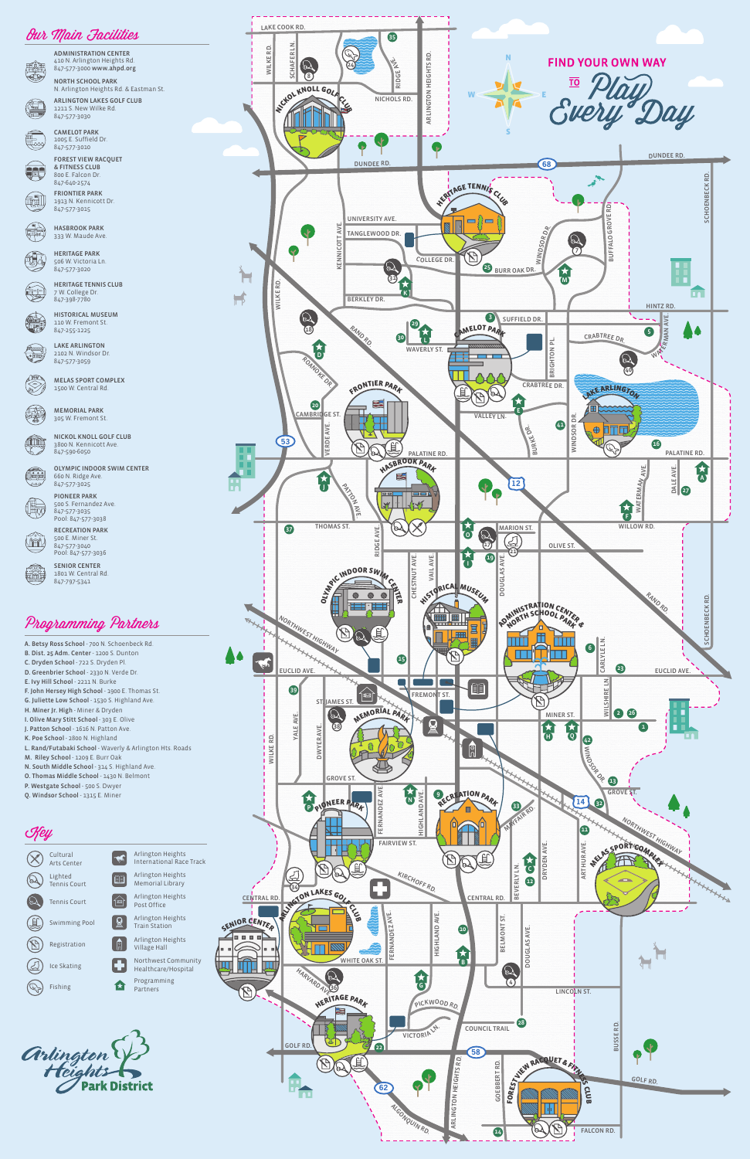